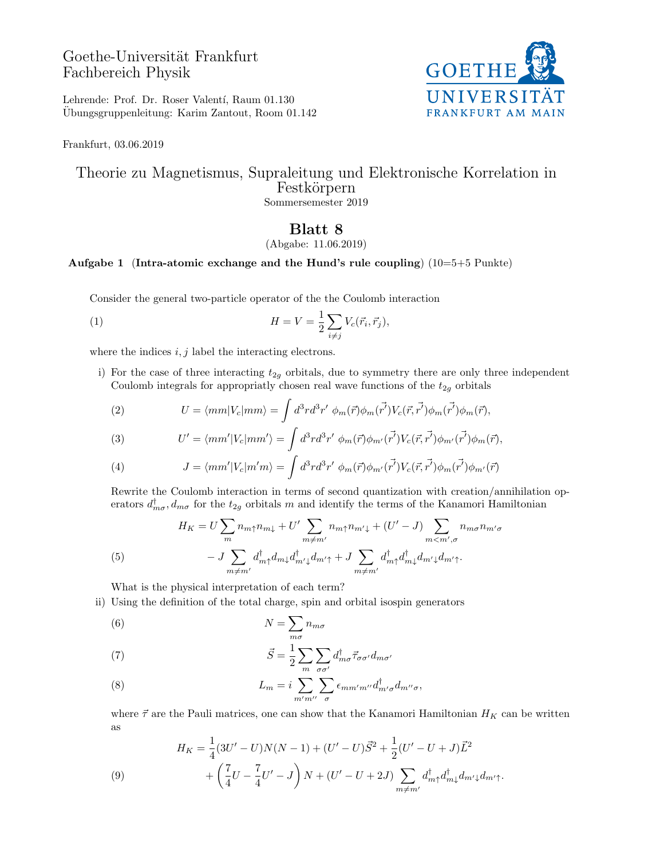# Goethe-Universität Frankfurt Fachbereich Physik



Lehrende: Prof. Dr. Roser Valentí, Raum 01.130 Ubungsgruppenleitung: Karim Zantout, Room 01.142 ¨

Frankfurt, 03.06.2019

### Theorie zu Magnetismus, Supraleitung und Elektronische Korrelation in Festkörpern Sommersemester 2019

## Blatt 8

#### (Abgabe: 11.06.2019)

### Aufgabe 1 (Intra-atomic exchange and the Hund's rule coupling)  $(10=5+5$  Punkte)

Consider the general two-particle operator of the the Coulomb interaction

(1) 
$$
H = V = \frac{1}{2} \sum_{i \neq j} V_c(\vec{r}_i, \vec{r}_j),
$$

where the indices  $i, j$  label the interacting electrons.

i) For the case of three interacting  $t_{2g}$  orbitals, due to symmetry there are only three independent Coulomb integrals for appropriatly chosen real wave functions of the  $t_{2g}$  orbitals

(2) 
$$
U = \langle mm|V_c|mm \rangle = \int d^3r d^3r' \ \phi_m(\vec{r}) \phi_m(\vec{r'}) V_c(\vec{r}, \vec{r'}) \phi_m(\vec{r'}) \phi_m(\vec{r}),
$$

(3) 
$$
U' = \langle mm' | V_c | mm' \rangle = \int d^3r d^3r' \ \phi_m(\vec{r}) \phi_{m'}(\vec{r'}) V_c(\vec{r}, \vec{r'}) \phi_{m'}(\vec{r'}) \phi_m(\vec{r}),
$$

(4) 
$$
J = \langle mm' | V_c | m' m \rangle = \int d^3r d^3r' \phi_m(\vec{r}) \phi_{m'}(\vec{r'}) V_c(\vec{r}, \vec{r'}) \phi_{m'}(\vec{r'}) \phi_{m'}(\vec{r})
$$

Rewrite the Coulomb interaction in terms of second quantization with creation/annihilation operators  $d_{m\sigma}^{\dagger}, d_{m\sigma}$  for the  $t_{2g}$  orbitals m and identify the terms of the Kanamori Hamiltonian

(5) 
$$
H_{K} = U \sum_{m} n_{m\uparrow} n_{m\downarrow} + U' \sum_{m \neq m'} n_{m\uparrow} n_{m'\downarrow} + (U' - J) \sum_{m < m', \sigma} n_{m\sigma} n_{m'\sigma}
$$

$$
- J \sum_{m \neq m'} d_{m\uparrow}^{\dagger} d_{m\downarrow} d_{m'\downarrow}^{\dagger} d_{m'\uparrow} + J \sum_{m \neq m'} d_{m\uparrow}^{\dagger} d_{m\downarrow}^{\dagger} d_{m'\downarrow} d_{m'\uparrow}.
$$

What is the physical interpretation of each term?

ii) Using the definition of the total charge, spin and orbital isospin generators

(6) 
$$
N = \sum_{m\sigma} n_{m\sigma}
$$

(7) 
$$
\vec{S} = \frac{1}{2} \sum_{m} \sum_{\sigma \sigma'} d^{\dagger}_{m\sigma} \vec{\tau}_{\sigma \sigma'} d_{m\sigma'}
$$

(8) 
$$
L_m = i \sum_{m'm''} \sum_{\sigma} \epsilon_{mm'm''} d_{m'\sigma}^{\dagger} d_{m''\sigma},
$$

where  $\vec{\tau}$  are the Pauli matrices, one can show that the Kanamori Hamiltonian  $H_K$  can be written as

(9) 
$$
H_K = \frac{1}{4}(3U' - U)N(N - 1) + (U' - U)\vec{S}^2 + \frac{1}{2}(U' - U + J)\vec{L}^2 + \left(\frac{7}{4}U - \frac{7}{4}U' - J\right)N + (U' - U + 2J)\sum_{m \neq m'} d_{m\uparrow}^{\dagger} d_{m\downarrow}^{\dagger} d_{m'\downarrow} d_{m'\uparrow}.
$$